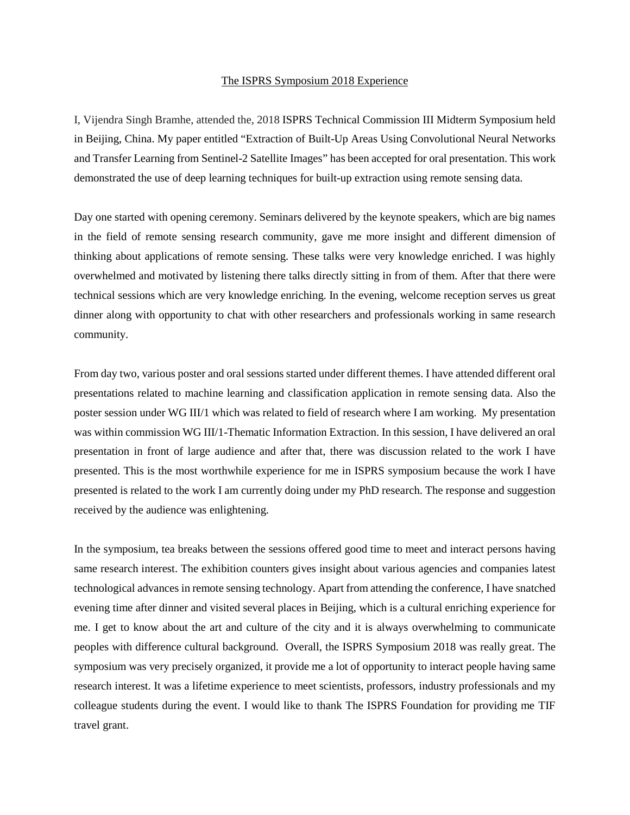## The ISPRS Symposium 2018 Experience

I, Vijendra Singh Bramhe, attended the, 2018 ISPRS Technical Commission III Midterm Symposium held in Beijing, China. My paper entitled "Extraction of Built-Up Areas Using Convolutional Neural Networks and Transfer Learning from Sentinel-2 Satellite Images" has been accepted for oral presentation. This work demonstrated the use of deep learning techniques for built-up extraction using remote sensing data.

Day one started with opening ceremony. Seminars delivered by the keynote speakers, which are big names in the field of remote sensing research community, gave me more insight and different dimension of thinking about applications of remote sensing. These talks were very knowledge enriched. I was highly overwhelmed and motivated by listening there talks directly sitting in from of them. After that there were technical sessions which are very knowledge enriching. In the evening, welcome reception serves us great dinner along with opportunity to chat with other researchers and professionals working in same research community.

From day two, various poster and oral sessions started under different themes. I have attended different oral presentations related to machine learning and classification application in remote sensing data. Also the poster session under WG III/1 which was related to field of research where I am working. My presentation was within commission WG III/1-Thematic Information Extraction. In this session, I have delivered an oral presentation in front of large audience and after that, there was discussion related to the work I have presented. This is the most worthwhile experience for me in ISPRS symposium because the work I have presented is related to the work I am currently doing under my PhD research. The response and suggestion received by the audience was enlightening.

In the symposium, tea breaks between the sessions offered good time to meet and interact persons having same research interest. The exhibition counters gives insight about various agencies and companies latest technological advances in remote sensing technology. Apart from attending the conference, I have snatched evening time after dinner and visited several places in Beijing, which is a cultural enriching experience for me. I get to know about the art and culture of the city and it is always overwhelming to communicate peoples with difference cultural background. Overall, the ISPRS Symposium 2018 was really great. The symposium was very precisely organized, it provide me a lot of opportunity to interact people having same research interest. It was a lifetime experience to meet scientists, professors, industry professionals and my colleague students during the event. I would like to thank The ISPRS Foundation for providing me TIF travel grant.